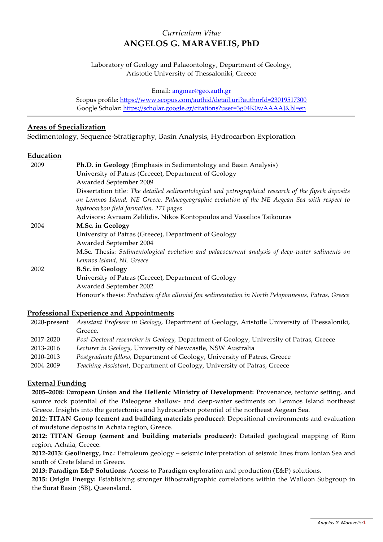# *Curriculum Vitae* **ANGELOS G. MARAVELIS, PhD**

Laboratory of Geology and Palaeontology, Department of Geology, Aristotle University of Thessaloniki, Greece

Email: [angmar@geo.auth.gr](mailto:angmar@geo.auth.gr)

Scopus profile:<https://www.scopus.com/authid/detail.uri?authorId=23019517300> Google Scholar:<https://scholar.google.gr/citations?user=3g04K0wAAAAJ&hl=en>

## **Areas of Specialization**

Sedimentology, Sequence-Stratigraphy, Basin Analysis, Hydrocarbon Exploration

#### **Education**

| 2009 | Ph.D. in Geology (Emphasis in Sedimentology and Basin Analysis)                                      |
|------|------------------------------------------------------------------------------------------------------|
|      | University of Patras (Greece), Department of Geology                                                 |
|      | Awarded September 2009                                                                               |
|      | Dissertation title: The detailed sedimentological and petrographical research of the flysch deposits |
|      | on Lemnos Island, NE Greece. Palaeogeographic evolution of the NE Aegean Sea with respect to         |
|      | hydrocarbon field formation. 271 pages                                                               |
|      | Advisors: Avraam Zelilidis, Nikos Kontopoulos and Vassilios Tsikouras                                |
| 2004 | M.Sc. in Geology                                                                                     |
|      | University of Patras (Greece), Department of Geology                                                 |
|      | Awarded September 2004                                                                               |
|      | M.Sc. Thesis: Sedimentological evolution and palaeocurrent analysis of deep-water sediments on       |
|      | Lemnos Island, NE Greece                                                                             |
| 2002 | <b>B.Sc.</b> in Geology                                                                              |
|      | University of Patras (Greece), Department of Geology                                                 |
|      | Awarded September 2002                                                                               |
|      | Honour's thesis: Evolution of the alluvial fan sedimentation in North Peloponnesus, Patras, Greece   |

## **Professional Experience and Appointments**

|           | 2020-present Assistant Professor in Geology, Department of Geology, Aristotle University of Thessaloniki, |
|-----------|-----------------------------------------------------------------------------------------------------------|
|           | Greece.                                                                                                   |
| 2017-2020 | Post-Doctoral researcher in Geology, Department of Geology, University of Patras, Greece                  |
| 2013-2016 | Lecturer in Geology, University of Newcastle, NSW Australia                                               |
| 2010-2013 | Postgraduate fellow, Department of Geology, University of Patras, Greece                                  |
| 2004-2009 | Teaching Assistant, Department of Geology, University of Patras, Greece                                   |

## **External Funding**

**2005–2008: European Union and the Hellenic Ministry of Development:** Provenance, tectonic setting, and source rock potential of the Paleogene shallow- and deep-water sediments on Lemnos Island northeast Greece. Insights into the geotectonics and hydrocarbon potential of the northeast Aegean Sea.

**2012: TITAN Group (cement and building materials producer)**: Depositional environments and evaluation of mudstone deposits in Achaia region, Greece.

**2012: TITAN Group (cement and building materials producer)**: Detailed geological mapping of Rion region, Achaia, Greece.

**2012-2013: GeoEnergy, Inc.**: Petroleum geology – seismic interpretation of seismic lines from Ionian Sea and south of Crete Island in Greece.

**2013: Paradigm E&P Solutions:** Access to Paradigm exploration and production (E&P) solutions.

**2015: Origin Energy:** Establishing stronger lithostratigraphic correlations within the Walloon Subgroup in the Surat Basin (SB), Queensland.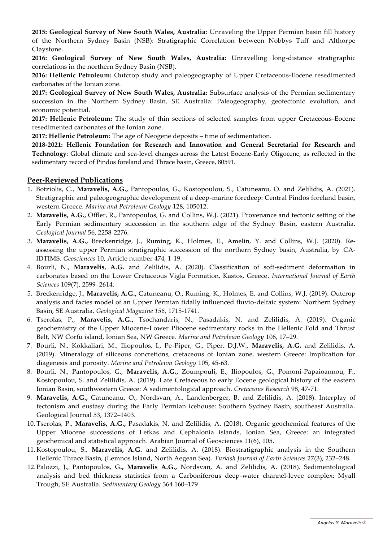**2015: Geological Survey of New South Wales, Australia:** Unraveling the Upper Permian basin fill history of the Northern Sydney Basin (NSB): Stratigraphic Correlation between Nobbys Tuff and Althorpe Claystone.

**2016: Geological Survey of New South Wales, Australia:** Unravelling long-distance stratigraphic correlations in the northern Sydney Basin (NSB).

**2016: Hellenic Petroleum:** Outcrop study and paleogeography of Upper Cretaceous-Eocene resedimented carbonates of the Ionian zone.

**2017: Geological Survey of New South Wales, Australia:** Subsurface analysis of the Permian sedimentary succession in the Northern Sydney Basin, SE Australia: Paleogeography, geotectonic evolution, and economic potential.

**2017: Hellenic Petroleum:** The study of thin sections of selected samples from upper Cretaceous-Eocene resedimented carbonates of the Ionian zone.

**2017: Hellenic Petroleum:** The age of Neogene deposits – time of sedimentation.

**2018-2021: Hellenic Foundation for Research and Innovation and General Secretarial for Research and Technology**: Global climate and sea-level changes across the Latest Eocene-Early Oligocene, as reflected in the sedimentary record of Pindos foreland and Thrace basin, Greece, 80591.

#### **Peer-Reviewed Publications**

- 1. Botziolis, C., **Maravelis, A.G.,** Pantopoulos, G., Kostopoulou, S., Catuneanu, O. and Zelilidis, A. (2021). Stratigraphic and paleogeographic development of a deep-marine foredeep: Central Pindos foreland basin, western Greece. *Marine and Petroleum Geology* 128, 105012.
- 2. **Maravelis, A.G.,** Offler, R., Pantopoulos, G. and Collins, W.J. (2021). Provenance and tectonic setting of the Early Permian sedimentary succession in the southern edge of the Sydney Basin, eastern Australia. *Geological Journal* 56, 2258-2276.
- 3. **Maravelis, A.G.,** Breckenridge, J., Ruming, K., Holmes, E., Amelin, Y. and Collins, W.J. (2020). Reassessing the upper Permian stratigraphic succession of the northern Sydney basin, Australia, by CA-IDTIMS. *Geosciences* 10, Article number 474, 1-19.
- 4. Bourli, N., **Maravelis, A.G.** and Zelilidis, A. (2020). Classification of soft-sediment deformation in carbonates based on the Lower Cretaceous Vigla Formation, Kastos, Greece. *International Journal of Earth Sciences* 109(7), 2599–2614.
- 5. Breckenridge, J., **Maravelis, A.G.,** Catuneanu, O., Ruming, K., Holmes, E. and Collins, W.J. (2019). Outcrop analysis and facies model of an Upper Permian tidally influenced fluvio-deltaic system: Northern Sydney Basin, SE Australia. *Geological Magazine 156*, 1715-1741.
- 6. Tserolas, P., **Maravelis, A.G.,** Tsochandaris, N., Pasadakis, N. and Zelilidis, A. (2019). Organic geochemistry of the Upper Miocene-Lower Pliocene sedimentary rocks in the Hellenic Fold and Thrust Belt, NW Corfu island, Ionian Sea, NW Greece. *Marine and Petroleum Geology* 106, 17–29.
- 7. Bourli, N., Kokkaliari, M., Iliopoulos, I., Pe-Piper, G., Piper, D.J.W., **Maravelis, A.G.** and Zelilidis, A. (2019). Mineralogy of siliceous concretions, cretaceous of Ionian zone, western Greece: Implication for diagenesis and porosity. *Marine and Petroleum Geology* 105, 45-63.
- 8. Bourli, N., Pantopoulos, G., **Maravelis, A.G.,** Zoumpouli, E., Iliopoulos, G., Pomoni-Papaioannou, F., Kostopoulou, S. and Zelilidis, A. (2019). Late Cretaceous to early Eocene geological history of the eastern Ionian Basin, southwestern Greece: A sedimentological approach. *Cretaceous Research* 98, 47-71.
- 9. **Maravelis, A.G.,** Catuneanu, O., Nordsvan, A., Landenberger, B. and Zelilidis, A. (2018). Interplay of tectonism and eustasy during the Early Permian icehouse: Southern Sydney Basin, southeast Australia. Geological Journal 53, 1372–1403.
- 10. Tserolas, P., **Maravelis, A.G.,** Pasadakis, N. and Zelilidis, A. (2018). Organic geochemical features of the Upper Miocene successions of Lefkas and Cephalonia islands, Ionian Sea, Greece: an integrated geochemical and statistical approach. Arabian Journal of Geosciences 11(6), 105.
- 11. Kostopoulou, S., **Maravelis, A.G.** and Zelilidis, A. (2018). Biostratigraphic analysis in the Southern Hellenic Thrace Basin, (Lemnos Island, North Aegean Sea). *Turkish Journal of Earth Sciences* 27(3), 232–248.
- 12.Palozzi, J., Pantopoulos, G**., Maravelis A.G.,** Nordsvan, A. and Zelilidis, A. (2018). Sedimentological analysis and bed thickness statistics from a Carboniferous deep-water channel-levee complex: Myall Trough, SE Australia. *Sedimentary Geology* 364 160–179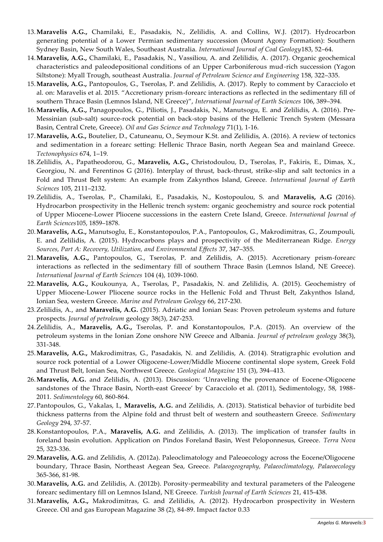- 13.**Maravelis A.G.,** Chamilaki, E., Pasadakis, N., Zelilidis, A. and Collins, W.J. (2017). Hydrocarbon generating potential of a Lower Permian sedimentary succession (Mount Agony Formation): Southern Sydney Basin, New South Wales, Southeast Australia. *International Journal of Coal Geology*183, 52–64.
- 14.**Maravelis, A.G.,** Chamilaki, E., Pasadakis, N., Vassiliou, A. and Zelilidis, A. (2017). Organic geochemical characteristics and paleodepositional conditions of an Upper Carboniferous mud-rich succession (Yagon Siltstone): Myall Trough, southeast Australia. *Journal of Petroleum Science and Engineering* 158, 322–335.
- 15.**Maravelis, A.G.,** Pantopoulos, G., Tserolas, P. and Zelilidis, A. (2017). Reply to comment by Caracciolo et al. on: Maravelis et al. 2015. "Accretionary prism-forearc interactions as reflected in the sedimentary fill of southern Thrace Basin (Lemnos Island, NE Greece)", *International Journal of Earth Sciences* 106, 389–394.
- 16.**Maravelis, A.G.,** Panagopoulos, G., Piliotis, J., Pasadakis, N., Manutsogu, E. and Zelilidis, A. (2016). Pre-Messinian (sub-salt) source-rock potential on back-stop basins of the Hellenic Trench System (Messara Basin, Central Crete, Greece). *Oil and Gas Science and Technology* 71(1), 1-16.
- 17.**Maravelis, A.G.,** Boutelier, D., Catuneanu, O., Seymour K.St. and Zelilidis, A. (2016). A review of tectonics and sedimentation in a forearc setting: Hellenic Thrace Basin, north Aegean Sea and mainland Greece. *Tectonophysics* 674, 1–19*.*
- 18.Zelilidis, A., Papatheodorou, G., **Maravelis, A.G.,** Christodoulou, D., Tserolas, P., Fakiris, E., Dimas, X., Georgiou, N. and Ferentinos G (2016). Interplay of thrust, back-thrust, strike-slip and salt tectonics in a Fold and Thrust Belt system: An example from Zakynthos Island, Greece. *International Journal of Earth Sciences* 105, 2111–2132.
- 19.Zelilidis, A., Tserolas, P., Chamilaki, E., Pasadakis, N., Kostopoulou, S. and **Maravelis, A.G** (2016). Hydrocarbon prospectivity in the Hellenic trench system: organic geochemistry and source rock potential of Upper Miocene-Lower Pliocene successions in the eastern Crete Island, Greece. *International Journal of Earth Sciences*105, 1859–1878.
- 20.**Maravelis, A.G.,** Manutsoglu, E., Konstantopoulos, P.A., Pantopoulos, G., Makrodimitras, G., Zoumpouli, E. and Zelilidis, A. (2015). Hydrocarbons plays and prospectivity of the Mediterranean Ridge. *Energy Sources, Part A: Recovery, Utilization, and Environmental Effects* 37, 347–355.
- 21.**Maravelis, A.G.,** Pantopoulos, G., Tserolas, P. and Zelilidis, A. (2015). Accretionary prism-forearc interactions as reflected in the sedimentary fill of southern Thrace Basin (Lemnos Island, NE Greece). *International Journal of Earth Sciences* 104 (4), 1039-1060.
- 22.**Maravelis, A.G.,** Koukounya, A., Tserolas, P., Pasadakis, N. and Zelilidis, A. (2015). Geochemistry of Upper Miocene-Lower Pliocene source rocks in the Hellenic Fold and Thrust Belt, Zakynthos Island, Ionian Sea, western Greece. *Marine and Petroleum Geology* 66, 217-230.
- 23.Zelilidis, A., and **Maravelis, A.G.** (2015). Adriatic and Ionian Seas: Proven petroleum systems and future prospects. *Journal of petroleum* geology 38(3), 247-253.
- 24.Zelilidis, A., **Maravelis, A.G.,** Tserolas, P. and Konstantopoulos, P.A. (2015). An overview of the petroleum systems in the Ionian Zone onshore NW Greece and Albania. *Journal of petroleum geology* 38(3), 331-348.
- 25.**Maravelis, A.G.,** Makrodimitras, G., Pasadakis, N. and Zelilidis, A. (2014). Stratigraphic evolution and source rock potential of a Lower Oligocene-Lower/Middle Miocene continental slope system, Greek Fold and Thrust Belt, Ionian Sea, Northwest Greece. *Geological Magazine* 151 (3), 394–413.
- 26.**Maravelis, A.G.** and Zelilidis, A. (2013). Discussion: 'Unraveling the provenance of Eocene-Oligocene sandstones of the Thrace Basin, North-east Greece' by Caracciolo et al. (2011), Sedimentology, 58, 1988- 2011. *Sedimentology* 60, 860-864.
- 27.Pantopoulos, G., Vakalas, I., **Maravelis, A.G.** and Zelilidis, A. (2013). Statistical behavior of turbidite bed thickness patterns from the Alpine fold and thrust belt of western and southeastern Greece. *Sedimentary Geology* 294, 37-57.
- 28.Konstantopoulos, P.A., **Maravelis, A.G.** and Zelilidis, A. (2013). The implication of transfer faults in foreland basin evolution. Application on Pindos Foreland Basin, West Peloponnesus, Greece. *Terra Nova* 25, 323-336.
- 29.**Maravelis, A.G.** and Zelilidis, A. (2012a). Paleoclimatology and Paleoecology across the Eocene/Oligocene boundary, Thrace Basin, Northeast Aegean Sea, Greece. *Palaeogeography, Palaeoclimatology, Palaeoecology* 365-366, 81-98.
- 30.**Maravelis, A.G.** and Zelilidis, A. (2012b). Porosity-permeability and textural parameters of the Paleogene forearc sedimentary fill on Lemnos Island, NE Greece. *Turkish Journal of Earth Sciences* 21, 415-438.
- 31.**Maravelis, A.G.,** Makrodimitras, G. and Zelilidis, A. (2012). Hydrocarbon prospectivity in Western Greece. Oil and gas European Magazine 38 (2), 84-89. Impact factor 0.33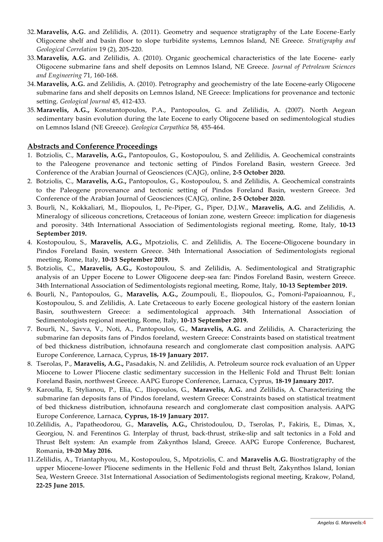- 32.**Maravelis, A.G.** and Zelilidis, A. (2011). Geometry and sequence stratigraphy of the Late Eocene-Early Oligocene shelf and basin floor to slope turbidite systems, Lemnos Island, NE Greece. *Stratigraphy and Geological Correlation* 19 (2), 205-220.
- 33.**Maravelis, A.G.** and Zelilidis, A. (2010). Organic geochemical characteristics of the late Eocene‐ early Oligocene submarine fans and shelf deposits on Lemnos Island, NE Greece. *Journal of Petroleum Sciences and Engineering* 71, 160‐168.
- 34.**Maravelis, A.G.** and Zelilidis, A. (2010). Petrography and geochemistry of the late Eocene‐early Oligocene submarine fans and shelf deposits on Lemnos Island, NE Greece: Implications for provenance and tectonic setting. *Geological Journal* 45, 412-433.
- 35.**Maravelis, A.G.,** Konstantopoulos, P.A., Pantopoulos, G. and Zelilidis, A. (2007). North Aegean sedimentary basin evolution during the late Eocene to early Oligocene based on sedimentological studies on Lemnos Island (NE Greece). *Geologica Carpathica* 58, 455‐464.

#### **Abstracts and Conference Proceedings**

- 1. Botziolis, C., **Maravelis, A.G.,** Pantopoulos, G., Kostopoulou, S. and Zelilidis, A. Geochemical constraints to the Paleogene provenance and tectonic setting of Pindos Foreland Basin, western Greece. 3rd Conference of the Arabian Journal of Geosciences (CAJG), online, **2-5 October 2020.**
- 2. Botziolis, C., **Maravelis, A.G.,** Pantopoulos, G., Kostopoulou, S. and Zelilidis, A. Geochemical constraints to the Paleogene provenance and tectonic setting of Pindos Foreland Basin, western Greece. 3rd Conference of the Arabian Journal of Geosciences (CAJG), online, **2-5 October 2020.**
- 3. Bourli, N., Kokkaliari, M., Iliopoulos, I., Pe-Piper, G., Piper, D.J.W., **Maravelis, A.G.** and Zelilidis, A. Mineralogy of siliceous concretions, Cretaceous of Ionian zone, western Greece: implication for diagenesis and porosity. 34th International Association of Sedimentologists regional meeting, Rome, Italy, **10-13 September 2019.**
- 4. Kostopoulou, S., **Maravelis, A.G.,** Mpotziolis, C. and Zelilidis, A. The Eocene-Oligocene boundary in Pindos Foreland Basin, western Greece. 34th International Association of Sedimentologists regional meeting, Rome, Italy, **10-13 September 2019.**
- 5. Botziolis, C., **Maravelis, A.G.,** Kostopoulou, S. and Zelilidis, A. Sedimentological and Stratigraphic analysis of an Upper Eocene to Lower Oligocene deep-sea fan: Pindos Foreland Basin, western Greece. 34th International Association of Sedimentologists regional meeting, Rome, Italy, **10-13 September 2019.**
- 6. Bourli, N., Pantopoulos, G., **Maravelis, A.G.,** Zoumpouli, E., Iliopoulos, G., Pomoni-Papaioannou, F., Kostopoulou, S. and Zelilidis, A. Late Cretaceous to early Eocene geological history of the eastern Ionian Basin, southwestern Greece: a sedimentological approach. 34th International Association of Sedimentologists regional meeting, Rome, Italy, **10-13 September 2019.**
- 7. Bourli, N., Savva, V., Noti, A., Pantopoulos, G., **Maravelis, A.G.** and Zelilidis, A. Characterizing the submarine fan deposits fans of Pindos foreland, western Greece: Constraints based on statistical treatment of bed thickness distribution, ichnofauna research and conglomerate clast composition analysis. AAPG Europe Conference, Larnaca, Cyprus, **18-19 January 2017.**
- 8. Tserolas, P., **Maravelis, A.G.,** Pasadakis, N. and Zelilidis, A. Petroleum source rock evaluation of an Upper Miocene to Lower Pliocene clastic sedimentary succession in the Hellenic Fold and Thrust Belt: Ionian Foreland Basin, northwest Greece. AAPG Europe Conference, Larnaca, Cyprus, **18-19 January 2017.**
- 9. Karoulla, E, Stylianou, P., Elia, C., Iliopoulos, G., **Maravelis, A.G.** and Zelilidis, A. Characterizing the submarine fan deposits fans of Pindos foreland, western Greece: Constraints based on statistical treatment of bed thickness distribution, ichnofauna research and conglomerate clast composition analysis. AAPG Europe Conference, Larnaca, **Cyprus, 18-19 January 2017.**
- 10.Zelilidis, A., Papatheodorou, G., **Maravelis, A.G.,** Christodoulou, D., Tserolas, P., Fakiris, E., Dimas, X., Georgiou, N. and Ferentinos G*.* Interplay of thrust, back-thrust, strike-slip and salt tectonics in a Fold and Thrust Belt system: An example from Zakynthos Island, Greece. AAPG Europe Conference, Bucharest, Romania, **19-20 May 2016.**
- 11.Zelilidis, A., Triantaphyou, M., Kostopoulou, S., Mpotziolis, C. and **Maravelis A.G.** Biostratigraphy of the upper Miocene-lower Pliocene sediments in the Hellenic Fold and thrust Belt, Zakynthos Island, Ionian Sea, Western Greece. 31st International Association of Sedimentologists regional meeting, Krakow, Poland, **22-25 June 2015.**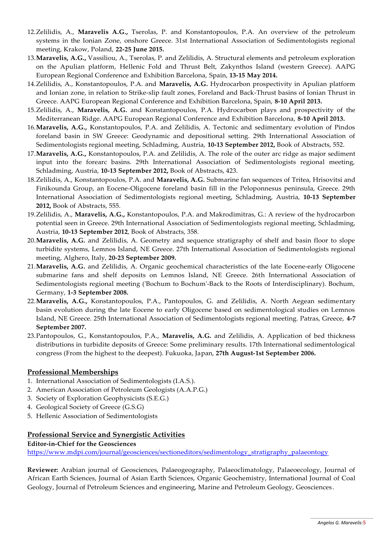- 12.Zelilidis, A., **Maravelis A.G.,** Tserolas, P. and Konstantopoulos, P.A. An overview of the petroleum systems in the Ionian Zone, onshore Greece. 31st International Association of Sedimentologists regional meeting, Krakow, Poland, **22-25 June 2015.**
- 13.**Maravelis, A.G.,** Vassiliou, A., Tserolas, P. and Zelilidis, A. Structural elements and petroleum exploration on the Apulian platform, Hellenic Fold and Thrust Belt, Zakynthos Island (western Greece). AAPG European Regional Conference and Exhibition Barcelona, Spain, **13-15 May 2014.**
- 14.Zelilidis, A., Konstantopoulos, P.A. and **Maravelis, A.G.** Hydrocarbon prospectivity in Apulian platform and Ionian zone, in relation to Strike-slip fault zones, Foreland and Back-Thrust basins of Ionian Thrust in Greece. AAPG European Regional Conference and Exhibition Barcelona, Spain, **8-10 April 2013.**
- 15.Zelilidis, A., **Maravelis, A.G.** and Konstantopoulos, P.A. Hydrocarbon plays and prospectivity of the Mediterranean Ridge. AAPG European Regional Conference and Exhibition Barcelona, **8-10 April 2013.**
- 16.**Maravelis, A.G.,** Konstantopoulos, P.A. and Zelilidis, A. Tectonic and sedimentary evolution of Pindos foreland basin in SW Greece: Geodynamic and depositional setting. 29th International Association of Sedimentologists regional meeting, Schladming, Austria, **10-13 September 2012,** Book of Abstracts, 552.
- 17.**Maravelis, A.G.,** Konstantopoulos, P.A. and Zelilidis, A. The role of the outer arc ridge as major sediment input into the forearc basins. 29th International Association of Sedimentologists regional meeting, Schladming, Austria, **10-13 September 2012,** Book of Abstracts, 423.
- 18.Zelilidis, A., Konstantopoulos, P.A. and **Maravelis, A.G.** Submarine fan sequences of Tritea, Hrisovitsi and Finikounda Group, an Eocene-Oligocene foreland basin fill in the Peloponnesus peninsula, Greece. 29th International Association of Sedimentologists regional meeting, Schladming, Austria, **10-13 September 2012,** Book of Abstracts, 555.
- 19.Zelilidis, A., **Maravelis, A.G.,** Konstantopoulos, P.A. and Makrodimitras, G.: A review of the hydrocarbon potential seen in Greece. 29th International Association of Sedimentologists regional meeting, Schladming, Austria, **10-13 September 2012**, Book of Abstracts, 358.
- 20.**Maravelis, A.G.** and Zelilidis, A. Geometry and sequence stratigraphy of shelf and basin floor to slope turbidite systems, Lemnos Island, NE Greece. 27th International Association of Sedimentologists regional meeting, Alghero, Italy, **20‐23 September 2009.**
- 21.**Maravelis, A.G.** and Zelilidis, A. Organic geochemical characteristics of the late Eocene‐early Oligocene submarine fans and shelf deposits on Lemnos Island, NE Greece. 26th International Association of Sedimentologists regional meeting (ʹBochum to Bochumʹ‐Back to the Roots of Interdisciplinary). Bochum, Germany, **1‐3 September 2008.**
- 22.**Maravelis, A.G.,** Konstantopoulos, P.A., Pantopoulos, G. and Zelilidis, A. North Aegean sedimentary basin evolution during the late Eocene to early Oligocene based on sedimentological studies on Lemnos Island, NE Greece. 25th International Association of Sedimentologists regional meeting. Patras, Greece, **4‐7 September 2007.**
- 23.Pantopoulos, G., Konstantopoulos, P.A., **Maravelis, A.G.** and Zelilidis, A. Application of bed thickness distributions in turbidite deposits of Greece: Some preliminary results. 17th International sedimentological congress (From the highest to the deepest). Fukuoka, Japan, **27th August‐1st September 2006.**

## **Professional Memberships**

- 1. International Association of Sedimentologists (I.A.S.).
- 2. American Association of Petroleum Geologists (A.A.P.G.)
- 3. Society of Exploration Geophysicists (S.E.G.)
- 4. Geological Society of Greece (G.S.G)
- 5. Hellenic Association of Sedimentologists

## **Professional Service and Synergistic Activities**

## **Editor-in-Chief for the Geosciences**

[https://www.mdpi.com/journal/geosciences/sectioneditors/sedimentology\\_stratigraphy\\_palaeontogy](https://www.mdpi.com/journal/geosciences/sectioneditors/sedimentology_stratigraphy_palaeontogy)

**Reviewer:** Arabian journal of Geosciences, Palaeogeography, Palaeoclimatology, Palaeoecology, Journal of African Earth Sciences, Journal of Asian Earth Sciences, Organic Geochemistry, International Journal of Coal Geology, Journal of Petroleum Sciences and engineering, Marine and Petroleum Geology, Geosciences.